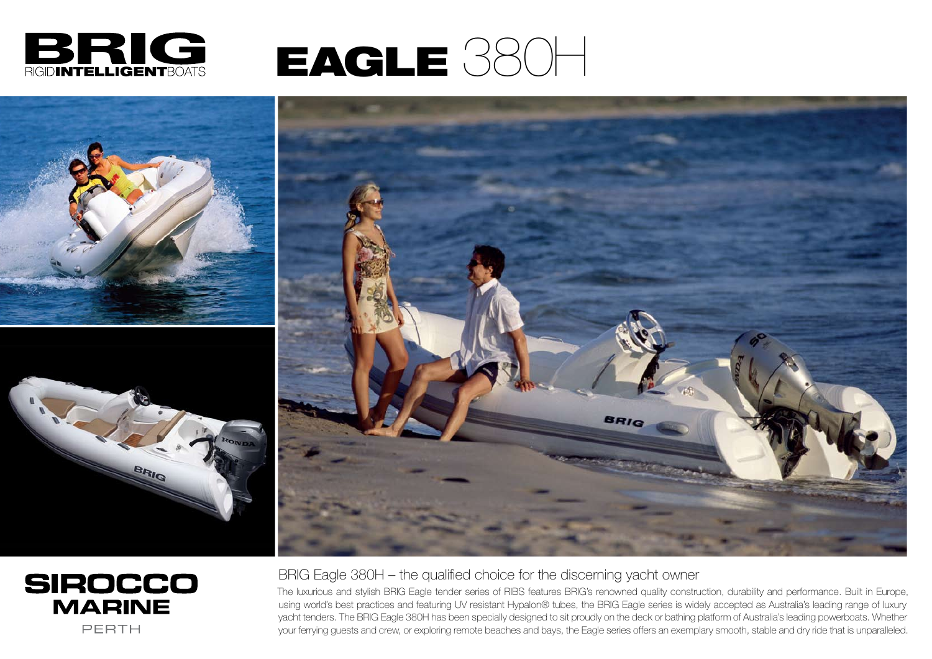

## EAGLE 380H









BRIG Eagle 380H – the qualified choice for the discerning yacht owner The luxurious and stylish BRIG Eagle tender series of RIBS features BRIG's renowned quality construction, durability and performance. Built in Europe, using world's best practices and featuring UV resistant Hypalon® tubes, the BRIG Eagle series is widely accepted as Australia's leading range of luxury yacht tenders. The BRIG Eagle 380H has been specially designed to sit proudly on the deck or bathing platform of Australia's leading powerboats. Whether your ferrying guests and crew, or exploring remote beaches and bays, the Eagle series offers an exemplary smooth, stable and dry ride that is unparalleled.